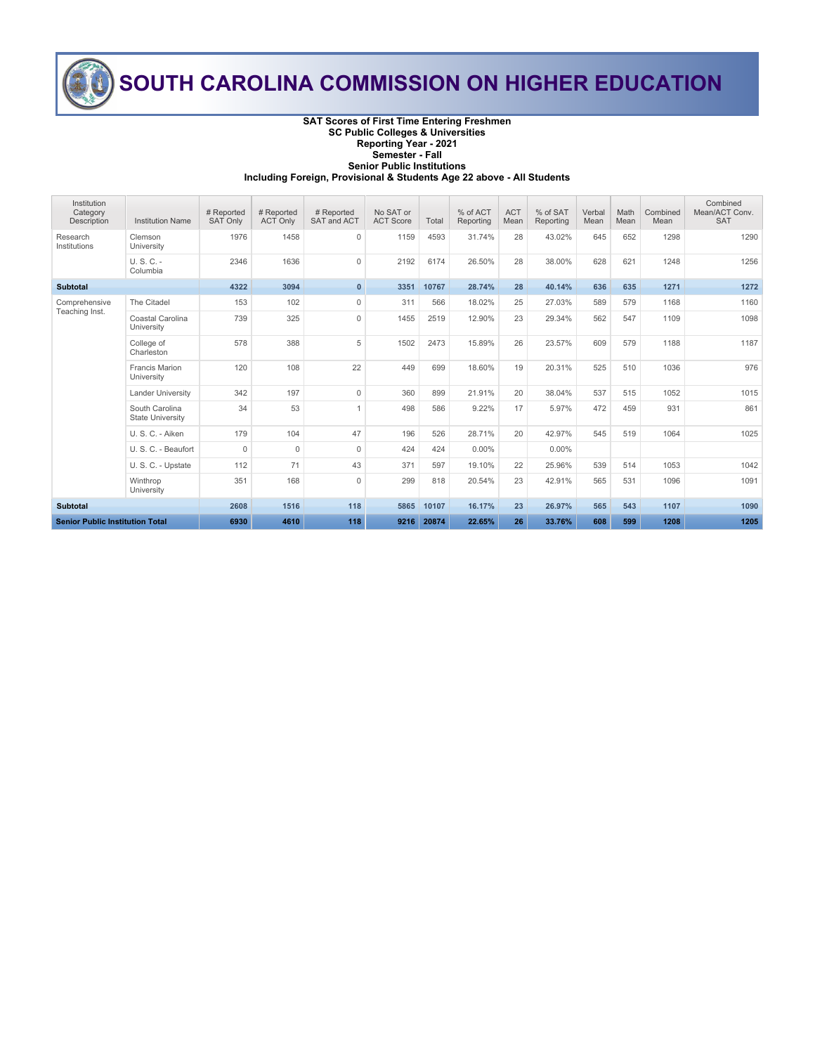

## **SOUTH CAROLINA COMMISSION ON HIGHER EDUCATION**

#### **SAT Scores of First Time Entering Freshmen SC Public Colleges & Universities Reporting Year - 2021 Semester - Fall Senior Public Institutions**

**Including Foreign, Provisional & Students Age 22 above - All Students**

| Institution<br>Category<br>Description | <b>Institution Name</b>                   | # Reported<br><b>SAT Only</b> | # Reported<br><b>ACT Only</b> | # Reported<br>SAT and ACT | No SAT or<br><b>ACT Score</b> | Total | % of ACT<br>Reporting | <b>ACT</b><br>Mean | % of SAT<br>Reporting | Verbal<br>Mean | Math<br>Mean | Combined<br>Mean | Combined<br>Mean/ACT Conv.<br><b>SAT</b> |
|----------------------------------------|-------------------------------------------|-------------------------------|-------------------------------|---------------------------|-------------------------------|-------|-----------------------|--------------------|-----------------------|----------------|--------------|------------------|------------------------------------------|
| Research<br>Institutions               | Clemson<br>University                     | 1976                          | 1458                          | $\mathbf 0$               | 1159                          | 4593  | 31.74%                | 28                 | 43.02%                | 645            | 652          | 1298             | 1290                                     |
|                                        | $U.S.C. -$<br>Columbia                    | 2346                          | 1636                          | $\Omega$                  | 2192                          | 6174  | 26.50%                | 28                 | 38.00%                | 628            | 621          | 1248             | 1256                                     |
| <b>Subtotal</b>                        |                                           | 4322                          | 3094                          | $\mathbf{0}$              | 3351                          | 10767 | 28.74%                | 28                 | 40.14%                | 636            | 635          | 1271             | 1272                                     |
| Comprehensive<br>Teaching Inst.        | The Citadel                               | 153                           | 102                           | $\mathbf 0$               | 311                           | 566   | 18.02%                | 25                 | 27.03%                | 589            | 579          | 1168             | 1160                                     |
|                                        | Coastal Carolina<br>University            | 739                           | 325                           | $\mathbf 0$               | 1455                          | 2519  | 12.90%                | 23                 | 29.34%                | 562            | 547          | 1109             | 1098                                     |
|                                        | College of<br>Charleston                  | 578                           | 388                           | 5                         | 1502                          | 2473  | 15.89%                | 26                 | 23.57%                | 609            | 579          | 1188             | 1187                                     |
|                                        | <b>Francis Marion</b><br>University       | 120                           | 108                           | 22                        | 449                           | 699   | 18.60%                | 19                 | 20.31%                | 525            | 510          | 1036             | 976                                      |
|                                        | <b>Lander University</b>                  | 342                           | 197                           | $\mathbf 0$               | 360                           | 899   | 21.91%                | 20                 | 38.04%                | 537            | 515          | 1052             | 1015                                     |
|                                        | South Carolina<br><b>State University</b> | 34                            | 53                            | $\overline{1}$            | 498                           | 586   | 9.22%                 | 17                 | 5.97%                 | 472            | 459          | 931              | 861                                      |
|                                        | U. S. C. - Aiken                          | 179                           | 104                           | 47                        | 196                           | 526   | 28.71%                | 20                 | 42.97%                | 545            | 519          | 1064             | 1025                                     |
|                                        | U. S. C. - Beaufort                       | $\Omega$                      | $\Omega$                      | $\mathbf 0$               | 424                           | 424   | $0.00\%$              |                    | $0.00\%$              |                |              |                  |                                          |
|                                        | U. S. C. - Upstate                        | 112                           | 71                            | 43                        | 371                           | 597   | 19.10%                | 22                 | 25.96%                | 539            | 514          | 1053             | 1042                                     |
|                                        | Winthrop<br>University                    | 351                           | 168                           | $\Omega$                  | 299                           | 818   | 20.54%                | 23                 | 42.91%                | 565            | 531          | 1096             | 1091                                     |
| <b>Subtotal</b>                        |                                           | 2608                          | 1516                          | 118                       | 5865                          | 10107 | 16.17%                | 23                 | 26.97%                | 565            | 543          | 1107             | 1090                                     |
| <b>Senior Public Institution Total</b> |                                           | 6930                          | 4610                          | 118                       | 9216                          | 20874 | 22.65%                | 26                 | 33.76%                | 608            | 599          | 1208             | 1205                                     |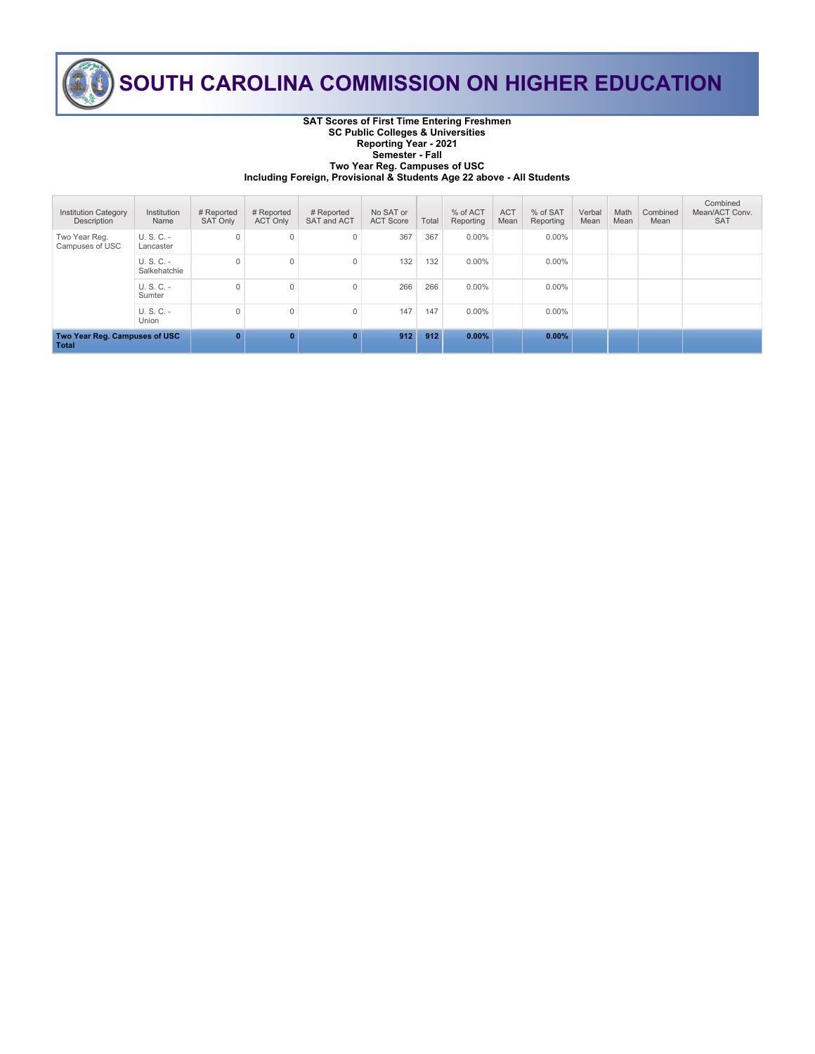

# **SOUTH CAROLINA COMMISSION ON HIGHER EDUCATION**

**SAT Scores of First Time Entering Freshmen SC Public Colleges & Universities Reporting Year - 2021 Semester - Fall Two Year Reg. Campuses of USC**

**Including Foreign, Provisional & Students Age 22 above - All Students**

| <b>Institution Category</b><br>Description | Institution<br>Name          | # Reported<br><b>SAT Only</b> | # Reported<br><b>ACT Only</b> | # Reported<br>SAT and ACT | No SAT or<br><b>ACT Score</b> | Total | % of ACT<br>Reporting | <b>ACT</b><br>Mean | % of SAT<br>Reporting | Verbal<br>Mean | Math<br>Mean | Combined<br>Mean | Combined<br>Mean/ACT Conv.<br><b>SAT</b> |
|--------------------------------------------|------------------------------|-------------------------------|-------------------------------|---------------------------|-------------------------------|-------|-----------------------|--------------------|-----------------------|----------------|--------------|------------------|------------------------------------------|
| Two Year Reg.<br>Campuses of USC           | $U. S. C. -$<br>Lancaster    | 0                             | 0                             | $\mathbf{0}$              | 367                           | 367   | $0.00\%$              |                    | $0.00\%$              |                |              |                  |                                          |
|                                            | $U. S. C. -$<br>Salkehatchie | $\Omega$                      | $\Omega$                      | $\Omega$                  | 132                           | 132   | $0.00\%$              |                    | $0.00\%$              |                |              |                  |                                          |
|                                            | $U. S. C. -$<br>Sumter       | $\Omega$                      | $\Omega$                      | $\Omega$                  | 266                           | 266   | $0.00\%$              |                    | $0.00\%$              |                |              |                  |                                          |
|                                            | $U. S. C. -$<br>Union        | $\Omega$                      | $\Omega$                      | $\Omega$                  | 147                           | 147   | $0.00\%$              |                    | $0.00\%$              |                |              |                  |                                          |
| Two Year Reg. Campuses of USC<br>Total     |                              | $\mathbf{0}$                  | $\Omega$                      | $\mathbf{0}$              | 912                           | 912   | $0.00\%$              |                    | $0.00\%$              |                |              |                  |                                          |